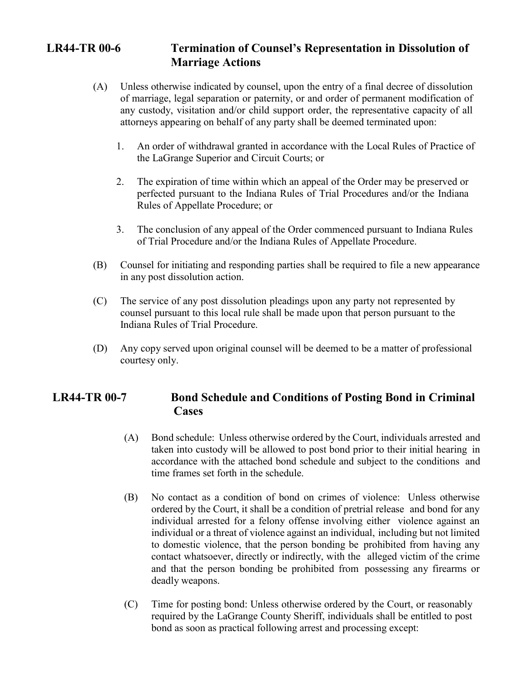## **LR44-TR 00-6 Termination of Counsel's Representation in Dissolution of Marriage Actions**

- (A) Unless otherwise indicated by counsel, upon the entry of a final decree of dissolution of marriage, legal separation or paternity, or and order of permanent modification of any custody, visitation and/or child support order, the representative capacity of all attorneys appearing on behalf of any party shall be deemed terminated upon:
	- 1. An order of withdrawal granted in accordance with the Local Rules of Practice of the LaGrange Superior and Circuit Courts; or
	- 2. The expiration of time within which an appeal of the Order may be preserved or perfected pursuant to the Indiana Rules of Trial Procedures and/or the Indiana Rules of Appellate Procedure; or
	- 3. The conclusion of any appeal of the Order commenced pursuant to Indiana Rules of Trial Procedure and/or the Indiana Rules of Appellate Procedure.
- (B) Counsel for initiating and responding parties shall be required to file a new appearance in any post dissolution action.
- (C) The service of any post dissolution pleadings upon any party not represented by counsel pursuant to this local rule shall be made upon that person pursuant to the Indiana Rules of Trial Procedure.
- (D) Any copy served upon original counsel will be deemed to be a matter of professional courtesy only.

## **LR44-TR 00-7 Bond Schedule and Conditions of Posting Bond in Criminal Cases**

- (A) Bond schedule: Unless otherwise ordered by the Court, individuals arrested and taken into custody will be allowed to post bond prior to their initial hearing in accordance with the attached bond schedule and subject to the conditions and time frames set forth in the schedule.
- (B) No contact as a condition of bond on crimes of violence: Unless otherwise ordered by the Court, it shall be a condition of pretrial release and bond for any individual arrested for a felony offense involving either violence against an individual or a threat of violence against an individual, including but not limited to domestic violence, that the person bonding be prohibited from having any contact whatsoever, directly or indirectly, with the alleged victim of the crime and that the person bonding be prohibited from possessing any firearms or deadly weapons.
- (C) Time for posting bond: Unless otherwise ordered by the Court, or reasonably required by the LaGrange County Sheriff, individuals shall be entitled to post bond as soon as practical following arrest and processing except: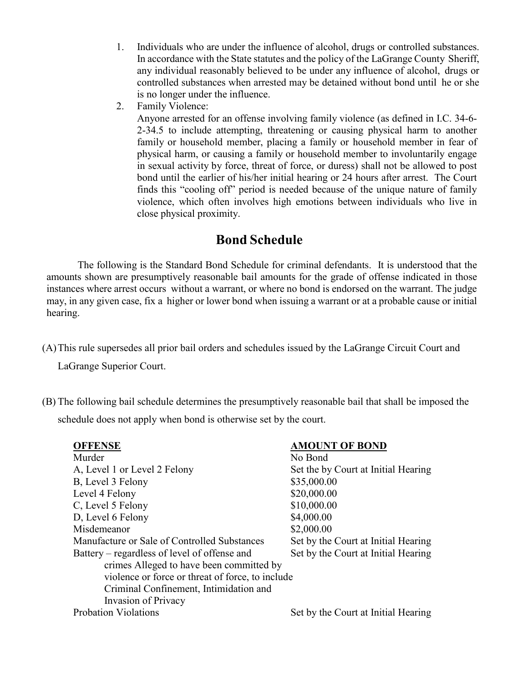- 1. Individuals who are under the influence of alcohol, drugs or controlled substances. In accordance with the State statutes and the policy of the LaGrange County Sheriff, any individual reasonably believed to be under any influence of alcohol, drugs or controlled substances when arrested may be detained without bond until he or she is no longer under the influence.
- 2. Family Violence:

Anyone arrested for an offense involving family violence (as defined in I.C. 34-6- 2-34.5 to include attempting, threatening or causing physical harm to another family or household member, placing a family or household member in fear of physical harm, or causing a family or household member to involuntarily engage in sexual activity by force, threat of force, or duress) shall not be allowed to post bond until the earlier of his/her initial hearing or 24 hours after arrest. The Court finds this "cooling off" period is needed because of the unique nature of family violence, which often involves high emotions between individuals who live in close physical proximity.

## **Bond Schedule**

The following is the Standard Bond Schedule for criminal defendants. It is understood that the amounts shown are presumptively reasonable bail amounts for the grade of offense indicated in those instances where arrest occurs without a warrant, or where no bond is endorsed on the warrant. The judge may, in any given case, fix a higher or lower bond when issuing a warrant or at a probable cause or initial hearing.

(A)This rule supersedes all prior bail orders and schedules issued by the LaGrange Circuit Court and

LaGrange Superior Court.

(B) The following bail schedule determines the presumptively reasonable bail that shall be imposed the schedule does not apply when bond is otherwise set by the court.

| <b>OFFENSE</b>                                   | <b>AMOUNT OF BOND</b>               |
|--------------------------------------------------|-------------------------------------|
| Murder                                           | No Bond                             |
| A, Level 1 or Level 2 Felony                     | Set the by Court at Initial Hearing |
| B, Level 3 Felony                                | \$35,000.00                         |
| Level 4 Felony                                   | \$20,000.00                         |
| C, Level 5 Felony                                | \$10,000.00                         |
| D, Level 6 Felony                                | \$4,000.00                          |
| Misdemeanor                                      | \$2,000.00                          |
| Manufacture or Sale of Controlled Substances     | Set by the Court at Initial Hearing |
| Battery – regardless of level of offense and     | Set by the Court at Initial Hearing |
| crimes Alleged to have been committed by         |                                     |
| violence or force or threat of force, to include |                                     |
| Criminal Confinement, Intimidation and           |                                     |
| Invasion of Privacy                              |                                     |
| <b>Probation Violations</b>                      | Set by the Court at Initial Hearing |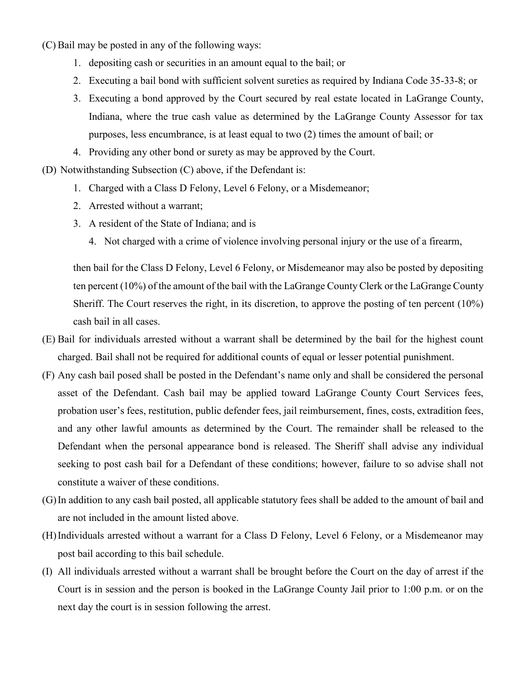(C) Bail may be posted in any of the following ways:

- 1. depositing cash or securities in an amount equal to the bail; or
- 2. Executing a bail bond with sufficient solvent sureties as required by Indiana Code 35-33-8; or
- 3. Executing a bond approved by the Court secured by real estate located in LaGrange County, Indiana, where the true cash value as determined by the LaGrange County Assessor for tax purposes, less encumbrance, is at least equal to two (2) times the amount of bail; or
- 4. Providing any other bond or surety as may be approved by the Court.
- (D) Notwithstanding Subsection (C) above, if the Defendant is:
	- 1. Charged with a Class D Felony, Level 6 Felony, or a Misdemeanor;
	- 2. Arrested without a warrant;
	- 3. A resident of the State of Indiana; and is
		- 4. Not charged with a crime of violence involving personal injury or the use of a firearm,

then bail for the Class D Felony, Level 6 Felony, or Misdemeanor may also be posted by depositing ten percent (10%) of the amount of the bail with the LaGrange County Clerk or the LaGrange County Sheriff. The Court reserves the right, in its discretion, to approve the posting of ten percent (10%) cash bail in all cases.

- (E) Bail for individuals arrested without a warrant shall be determined by the bail for the highest count charged. Bail shall not be required for additional counts of equal or lesser potential punishment.
- (F) Any cash bail posed shall be posted in the Defendant's name only and shall be considered the personal asset of the Defendant. Cash bail may be applied toward LaGrange County Court Services fees, probation user's fees, restitution, public defender fees, jail reimbursement, fines, costs, extradition fees, and any other lawful amounts as determined by the Court. The remainder shall be released to the Defendant when the personal appearance bond is released. The Sheriff shall advise any individual seeking to post cash bail for a Defendant of these conditions; however, failure to so advise shall not constitute a waiver of these conditions.
- (G)In addition to any cash bail posted, all applicable statutory fees shall be added to the amount of bail and are not included in the amount listed above.
- (H)Individuals arrested without a warrant for a Class D Felony, Level 6 Felony, or a Misdemeanor may post bail according to this bail schedule.
- (I) All individuals arrested without a warrant shall be brought before the Court on the day of arrest if the Court is in session and the person is booked in the LaGrange County Jail prior to 1:00 p.m. or on the next day the court is in session following the arrest.